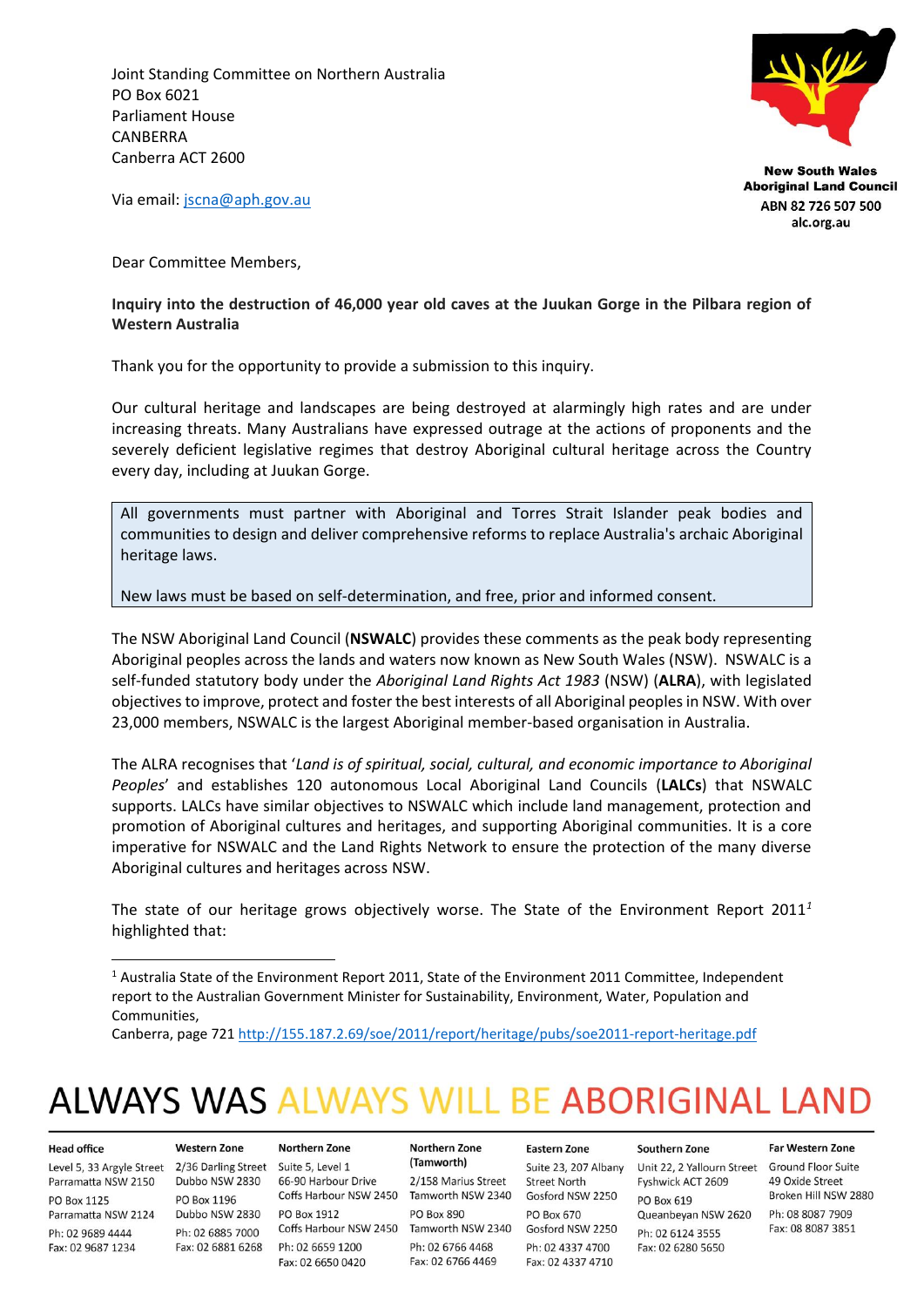Joint Standing Committee on Northern Australia PO Box 6021 Parliament House **CANRERRA** Canberra ACT 2600



**New South Wales Aboriginal Land Council** ABN 82 726 507 500 alc.org.au

Via email: [jscna@aph.gov.au](mailto:jscna@aph.gov.au)

Dear Committee Members,

#### **Inquiry into the destruction of 46,000 year old caves at the Juukan Gorge in the Pilbara region of Western Australia**

Thank you for the opportunity to provide a submission to this inquiry.

Our cultural heritage and landscapes are being destroyed at alarmingly high rates and are under increasing threats. Many Australians have expressed outrage at the actions of proponents and the severely deficient legislative regimes that destroy Aboriginal cultural heritage across the Country every day, including at Juukan Gorge.

All governments must partner with Aboriginal and Torres Strait Islander peak bodies and communities to design and deliver comprehensive reforms to replace Australia's archaic Aboriginal heritage laws.

New laws must be based on self-determination, and free, prior and informed consent.

The NSW Aboriginal Land Council (**NSWALC**) provides these comments as the peak body representing Aboriginal peoples across the lands and waters now known as New South Wales (NSW). NSWALC is a self-funded statutory body under the *Aboriginal Land Rights Act 1983* (NSW) (**ALRA**), with legislated objectives to improve, protect and foster the best interests of all Aboriginal peoples in NSW. With over 23,000 members, NSWALC is the largest Aboriginal member-based organisation in Australia.

The ALRA recognises that '*Land is of spiritual, social, cultural, and economic importance to Aboriginal Peoples*' and establishes 120 autonomous Local Aboriginal Land Councils (**LALCs**) that NSWALC supports. LALCs have similar objectives to NSWALC which include land management, protection and promotion of Aboriginal cultures and heritages, and supporting Aboriginal communities. It is a core imperative for NSWALC and the Land Rights Network to ensure the protection of the many diverse Aboriginal cultures and heritages across NSW.

The state of our heritage grows objectively worse. The State of the Environment Report 2011*<sup>1</sup>* highlighted that:

# **ALWAYS WAS ALWAYS WILL BE ABORIGINAL LAND**

#### **Head office**

Level 5, 33 Argyle Street 2/36 Darling Street Suite 5, Level 1 Parramatta NSW 2150 Dubbo NSW 2830 66-90 Harbour Drive **PO Box 1125** Parramatta NSW 2124 Ph: 02 9689 4444 Fax: 02 9687 1234

#### **Western Zone**

PO Box 1196 Dubbo NSW 2830 PO Box 1912 Ph: 02 6885 7000

## Northern Zone Coffs Harbour NSW 2450 Tamworth NSW 2340 Gosford NSW 2250 Coffs Harbour NSW 2450 Tamworth NSW 2340 Fax: 02 6881 6268 Ph: 02 6659 1200 Fax: 02 6650 0420

#### Northern Zone (Tamworth)

2/158 Marius Street PO Box 890 Ph: 02 6766 4468 Fax: 02 6766 4469

#### Suite 23, 207 Albany **Street North PO Box 670** Gosford NSW 2250 Ph: 02 4337 4700 Fax: 02 4337 4710

**Eastern Zone** 

#### Southern Zone

Unit 22, 2 Yallourn Street Ground Floor Suite Fyshwick ACT 2609 PO Box 619 Queanbeyan NSW 2620 Ph: 02 6124 3555 Fax: 02 6280 5650

#### **Far Western Zone**

49 Oxide Street Broken Hill NSW 2880 Ph: 08 8087 7909 Fax: 08 8087 3851

<sup>1</sup> Australia State of the Environment Report 2011, State of the Environment 2011 Committee, Independent report to the Australian Government Minister for Sustainability, Environment, Water, Population and Communities,

Canberra, page 72[1 http://155.187.2.69/soe/2011/report/heritage/pubs/soe2011-report-heritage.pdf](http://155.187.2.69/soe/2011/report/heritage/pubs/soe2011-report-heritage.pdf)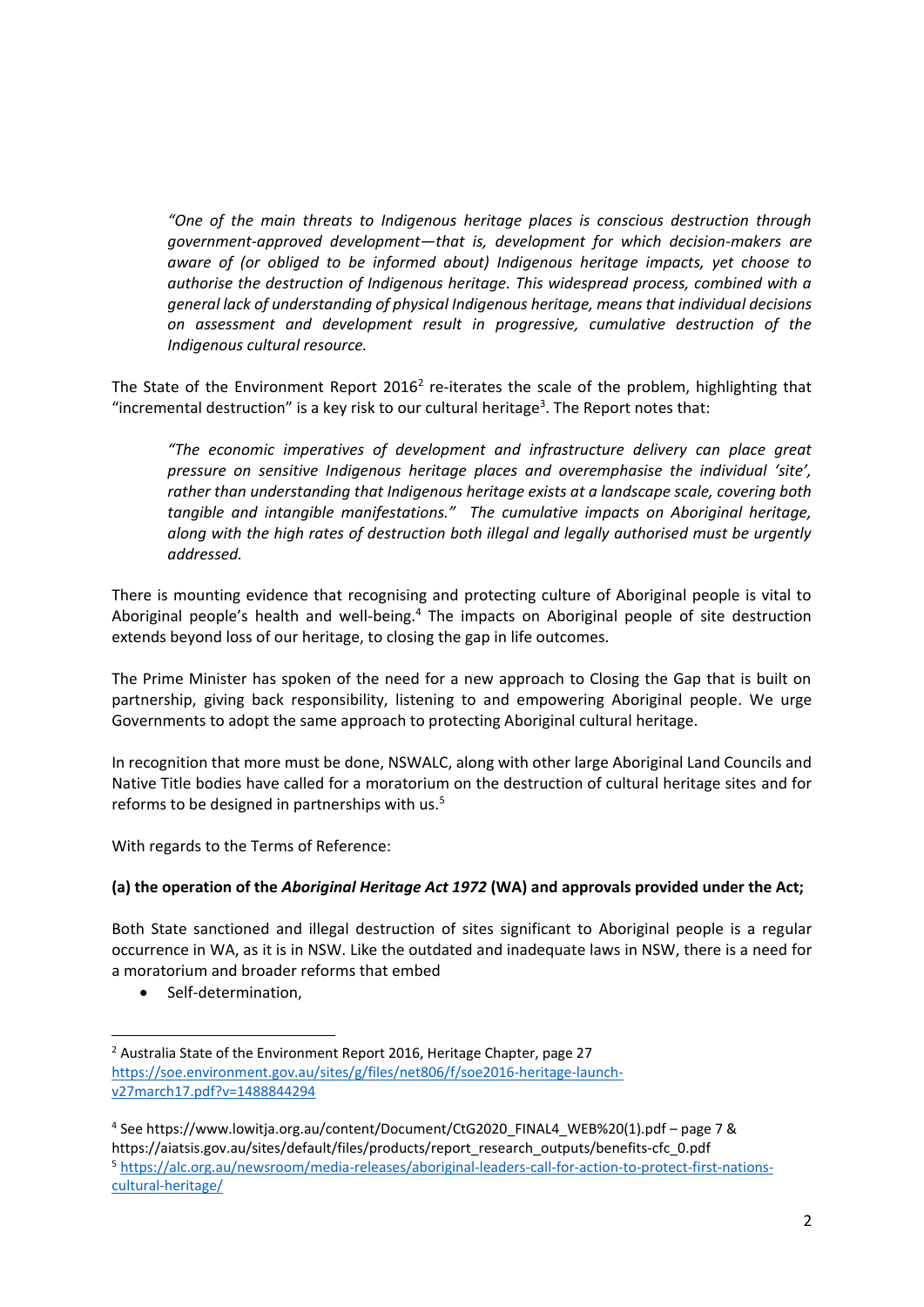*"One of the main threats to Indigenous heritage places is conscious destruction through government-approved development—that is, development for which decision-makers are aware of (or obliged to be informed about) Indigenous heritage impacts, yet choose to authorise the destruction of Indigenous heritage. This widespread process, combined with a general lack of understanding of physical Indigenous heritage, means that individual decisions on assessment and development result in progressive, cumulative destruction of the Indigenous cultural resource.*

The State of the Environment Report 2016<sup>2</sup> re-iterates the scale of the problem, highlighting that "incremental destruction" is a key risk to our cultural heritage<sup>3</sup>. The Report notes that:

*"The economic imperatives of development and infrastructure delivery can place great pressure on sensitive Indigenous heritage places and overemphasise the individual 'site', rather than understanding that Indigenous heritage exists at a landscape scale, covering both tangible and intangible manifestations." The cumulative impacts on Aboriginal heritage, along with the high rates of destruction both illegal and legally authorised must be urgently addressed.*

There is mounting evidence that recognising and protecting culture of Aboriginal people is vital to Aboriginal people's health and well-being.<sup>4</sup> The impacts on Aboriginal people of site destruction extends beyond loss of our heritage, to closing the gap in life outcomes.

The Prime Minister has spoken of the need for a new approach to Closing the Gap that is built on partnership, giving back responsibility, listening to and empowering Aboriginal people. We urge Governments to adopt the same approach to protecting Aboriginal cultural heritage.

In recognition that more must be done, NSWALC, along with other large Aboriginal Land Councils and Native Title bodies have called for a moratorium on the destruction of cultural heritage sites and for reforms to be designed in partnerships with us.<sup>5</sup>

With regards to the Terms of Reference:

#### **(a) the operation of the** *Aboriginal Heritage Act 1972* **(WA) and approvals provided under the Act;**

Both State sanctioned and illegal destruction of sites significant to Aboriginal people is a regular occurrence in WA, as it is in NSW. Like the outdated and inadequate laws in NSW, there is a need for a moratorium and broader reforms that embed

• Self-determination,

<sup>&</sup>lt;sup>2</sup> Australia State of the Environment Report 2016, Heritage Chapter, page 27 [https://soe.environment.gov.au/sites/g/files/net806/f/soe2016-heritage-launch](https://soe.environment.gov.au/sites/g/files/net806/f/soe2016-heritage-launch-v27march17.pdf?v=1488844294)[v27march17.pdf?v=1488844294](https://soe.environment.gov.au/sites/g/files/net806/f/soe2016-heritage-launch-v27march17.pdf?v=1488844294)

<sup>4</sup> Se[e https://www.lowitja.org.au/content/Document/CtG2020\\_FINAL4\\_WEB%20\(1\).pdf](https://www.lowitja.org.au/content/Document/CtG2020_FINAL4_WEB%20(1).pdf) – page 7 & [https://aiatsis.gov.au/sites/default/files/products/report\\_research\\_outputs/benefits-cfc\\_0.pdf](https://aiatsis.gov.au/sites/default/files/products/report_research_outputs/benefits-cfc_0.pdf) <sup>5</sup> [https://alc.org.au/newsroom/media-releases/aboriginal-leaders-call-for-action-to-protect-first-nations](https://alc.org.au/newsroom/media-releases/aboriginal-leaders-call-for-action-to-protect-first-nations-cultural-heritage/)[cultural-heritage/](https://alc.org.au/newsroom/media-releases/aboriginal-leaders-call-for-action-to-protect-first-nations-cultural-heritage/)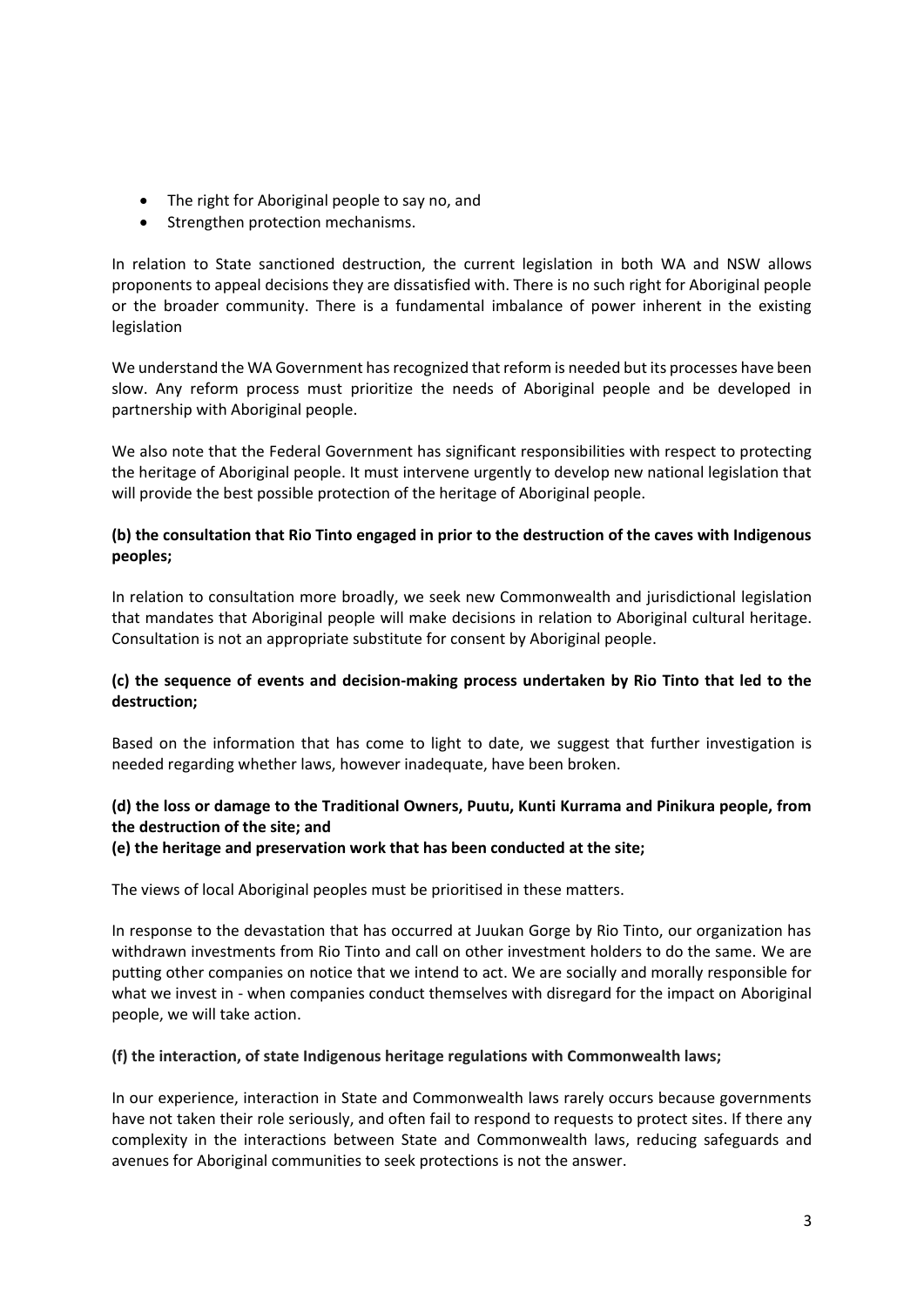- The right for Aboriginal people to say no, and
- Strengthen protection mechanisms.

In relation to State sanctioned destruction, the current legislation in both WA and NSW allows proponents to appeal decisions they are dissatisfied with. There is no such right for Aboriginal people or the broader community. There is a fundamental imbalance of power inherent in the existing legislation

We understand the WA Government has recognized that reform is needed but its processes have been slow. Any reform process must prioritize the needs of Aboriginal people and be developed in partnership with Aboriginal people.

We also note that the Federal Government has significant responsibilities with respect to protecting the heritage of Aboriginal people. It must intervene urgently to develop new national legislation that will provide the best possible protection of the heritage of Aboriginal people.

## **(b) the consultation that Rio Tinto engaged in prior to the destruction of the caves with Indigenous peoples;**

In relation to consultation more broadly, we seek new Commonwealth and jurisdictional legislation that mandates that Aboriginal people will make decisions in relation to Aboriginal cultural heritage. Consultation is not an appropriate substitute for consent by Aboriginal people.

## **(c) the sequence of events and decision-making process undertaken by Rio Tinto that led to the destruction;**

Based on the information that has come to light to date, we suggest that further investigation is needed regarding whether laws, however inadequate, have been broken.

## **(d) the loss or damage to the Traditional Owners, Puutu, Kunti Kurrama and Pinikura people, from the destruction of the site; and**

#### **(e) the heritage and preservation work that has been conducted at the site;**

The views of local Aboriginal peoples must be prioritised in these matters.

In response to the devastation that has occurred at Juukan Gorge by Rio Tinto, our organization has withdrawn investments from Rio Tinto and call on other investment holders to do the same. We are putting other companies on notice that we intend to act. We are socially and morally responsible for what we invest in - when companies conduct themselves with disregard for the impact on Aboriginal people, we will take action.

#### **(f) the interaction, of state Indigenous heritage regulations with Commonwealth laws;**

In our experience, interaction in State and Commonwealth laws rarely occurs because governments have not taken their role seriously, and often fail to respond to requests to protect sites. If there any complexity in the interactions between State and Commonwealth laws, reducing safeguards and avenues for Aboriginal communities to seek protections is not the answer.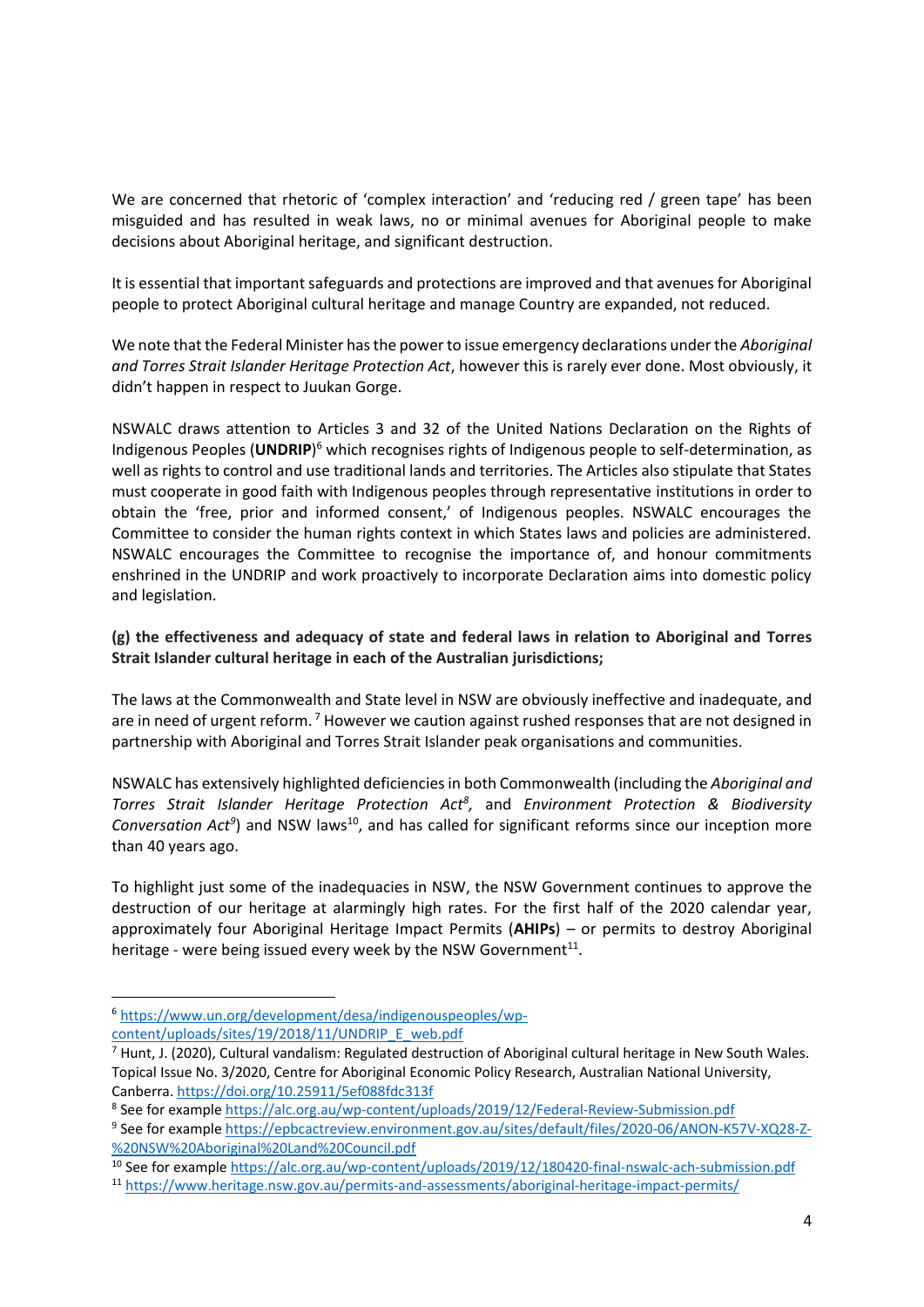We are concerned that rhetoric of 'complex interaction' and 'reducing red / green tape' has been misguided and has resulted in weak laws, no or minimal avenues for Aboriginal people to make decisions about Aboriginal heritage, and significant destruction.

It is essential that important safeguards and protections are improved and that avenues for Aboriginal people to protect Aboriginal cultural heritage and manage Country are expanded, not reduced.

We note that the Federal Minister has the power to issue emergency declarations under the *Aboriginal and Torres Strait Islander Heritage Protection Act*, however this is rarely ever done. Most obviously, it didn't happen in respect to Juukan Gorge.

NSWALC draws attention to Articles 3 and 32 of the United Nations Declaration on the Rights of Indigenous Peoples (**UNDRIP**) <sup>6</sup> which recognises rights of Indigenous people to self-determination, as well as rights to control and use traditional lands and territories. The Articles also stipulate that States must cooperate in good faith with Indigenous peoples through representative institutions in order to obtain the 'free, prior and informed consent,' of Indigenous peoples. NSWALC encourages the Committee to consider the human rights context in which States laws and policies are administered. NSWALC encourages the Committee to recognise the importance of, and honour commitments enshrined in the UNDRIP and work proactively to incorporate Declaration aims into domestic policy and legislation.

**(g) the effectiveness and adequacy of state and federal laws in relation to Aboriginal and Torres Strait Islander cultural heritage in each of the Australian jurisdictions;**

The laws at the Commonwealth and State level in NSW are obviously ineffective and inadequate, and are in need of urgent reform.<sup>7</sup> However we caution against rushed responses that are not designed in partnership with Aboriginal and Torres Strait Islander peak organisations and communities.

NSWALC has extensively highlighted deficiencies in both Commonwealth (including the *Aboriginal and Torres Strait Islander Heritage Protection Act<sup>8</sup> ,* and *Environment Protection & Biodiversity*  Conversation Act<sup>9</sup>) and NSW laws<sup>10</sup>, and has called for significant reforms since our inception more than 40 years ago.

To highlight just some of the inadequacies in NSW, the NSW Government continues to approve the destruction of our heritage at alarmingly high rates. For the first half of the 2020 calendar year, approximately four Aboriginal Heritage Impact Permits (**AHIPs**) – or permits to destroy Aboriginal heritage - were being issued every week by the NSW Government<sup>11</sup>.

<sup>6</sup> [https://www.un.org/development/desa/indigenouspeoples/wp-](https://www.un.org/development/desa/indigenouspeoples/wp-content/uploads/sites/19/2018/11/UNDRIP_E_web.pdf)

[content/uploads/sites/19/2018/11/UNDRIP\\_E\\_web.pdf](https://www.un.org/development/desa/indigenouspeoples/wp-content/uploads/sites/19/2018/11/UNDRIP_E_web.pdf)

<sup>7</sup> Hunt, J. (2020), Cultural vandalism: Regulated destruction of Aboriginal cultural heritage in New South Wales. Topical Issue No. 3/2020, Centre for Aboriginal Economic Policy Research, Australian National University, Canberra.<https://doi.org/10.25911/5ef088fdc313f>

<sup>&</sup>lt;sup>8</sup> See for exampl[e https://alc.org.au/wp-content/uploads/2019/12/Federal-Review-Submission.pdf](https://alc.org.au/wp-content/uploads/2019/12/Federal-Review-Submission.pdf)

<sup>&</sup>lt;sup>9</sup> See for exampl[e https://epbcactreview.environment.gov.au/sites/default/files/2020-06/ANON-K57V-XQ28-Z-](https://epbcactreview.environment.gov.au/sites/default/files/2020-06/ANON-K57V-XQ28-Z-%20NSW%20Aboriginal%20Land%20Council.pdf) [%20NSW%20Aboriginal%20Land%20Council.pdf](https://epbcactreview.environment.gov.au/sites/default/files/2020-06/ANON-K57V-XQ28-Z-%20NSW%20Aboriginal%20Land%20Council.pdf)

<sup>&</sup>lt;sup>10</sup> See for exampl[e https://alc.org.au/wp-content/uploads/2019/12/180420-final-nswalc-ach-submission.pdf](https://alc.org.au/wp-content/uploads/2019/12/180420-final-nswalc-ach-submission.pdf)

<sup>11</sup> <https://www.heritage.nsw.gov.au/permits-and-assessments/aboriginal-heritage-impact-permits/>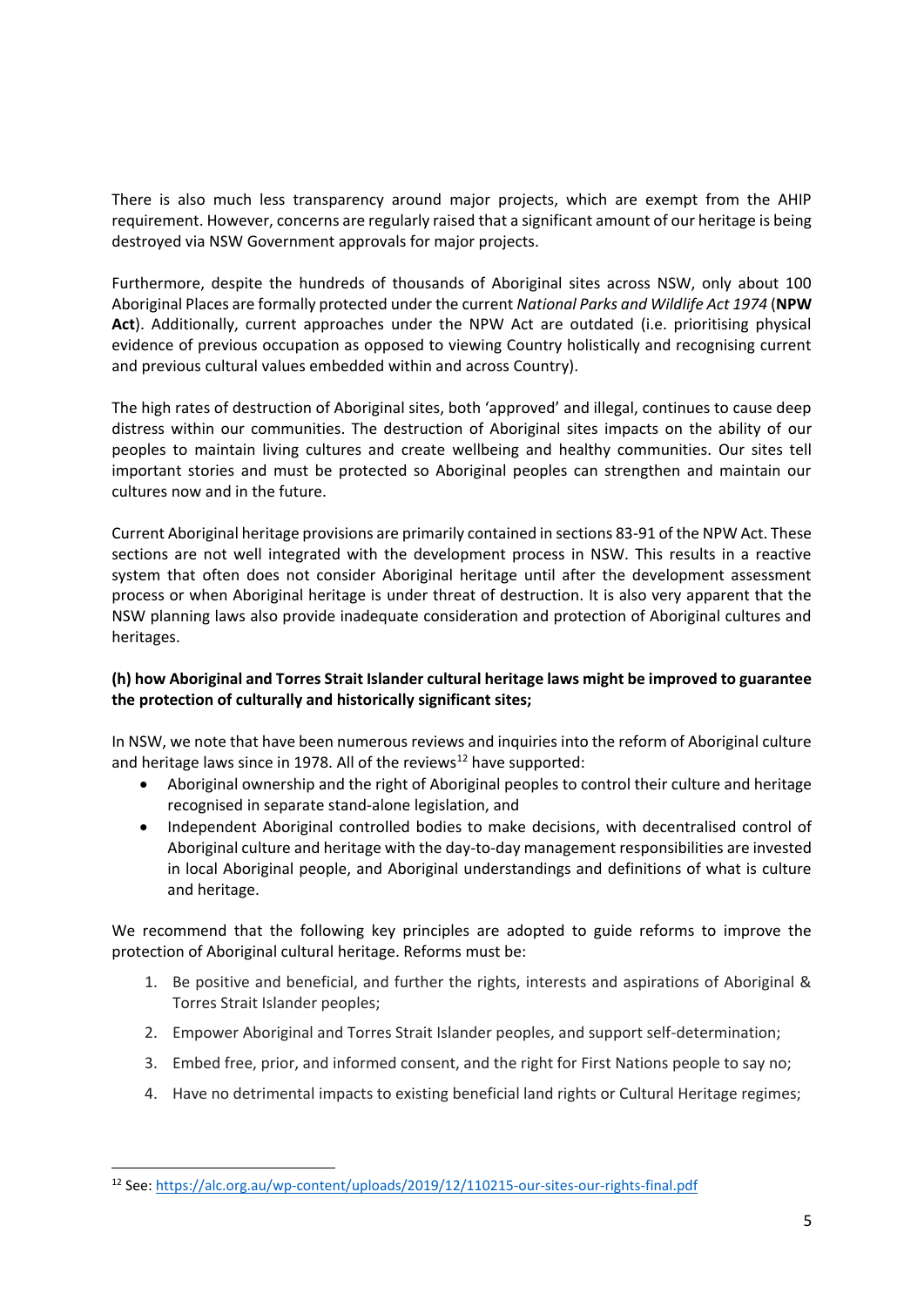There is also much less transparency around major projects, which are exempt from the AHIP requirement. However, concerns are regularly raised that a significant amount of our heritage is being destroyed via NSW Government approvals for major projects.

Furthermore, despite the hundreds of thousands of Aboriginal sites across NSW, only about 100 Aboriginal Places are formally protected under the current *National Parks and Wildlife Act 1974* (**NPW Act**). Additionally, current approaches under the NPW Act are outdated (i.e. prioritising physical evidence of previous occupation as opposed to viewing Country holistically and recognising current and previous cultural values embedded within and across Country).

The high rates of destruction of Aboriginal sites, both 'approved' and illegal, continues to cause deep distress within our communities. The destruction of Aboriginal sites impacts on the ability of our peoples to maintain living cultures and create wellbeing and healthy communities. Our sites tell important stories and must be protected so Aboriginal peoples can strengthen and maintain our cultures now and in the future.

Current Aboriginal heritage provisions are primarily contained in sections 83-91 of the NPW Act. These sections are not well integrated with the development process in NSW. This results in a reactive system that often does not consider Aboriginal heritage until after the development assessment process or when Aboriginal heritage is under threat of destruction. It is also very apparent that the NSW planning laws also provide inadequate consideration and protection of Aboriginal cultures and heritages.

## **(h) how Aboriginal and Torres Strait Islander cultural heritage laws might be improved to guarantee the protection of culturally and historically significant sites;**

In NSW, we note that have been numerous reviews and inquiries into the reform of Aboriginal culture and heritage laws since in 1978. All of the reviews<sup>12</sup> have supported:

- Aboriginal ownership and the right of Aboriginal peoples to control their culture and heritage recognised in separate stand-alone legislation, and
- Independent Aboriginal controlled bodies to make decisions, with decentralised control of Aboriginal culture and heritage with the day-to-day management responsibilities are invested in local Aboriginal people, and Aboriginal understandings and definitions of what is culture and heritage.

We recommend that the following key principles are adopted to guide reforms to improve the protection of Aboriginal cultural heritage. Reforms must be:

- 1. Be positive and beneficial, and further the rights, interests and aspirations of Aboriginal & Torres Strait Islander peoples;
- 2. Empower Aboriginal and Torres Strait Islander peoples, and support self-determination;
- 3. Embed free, prior, and informed consent, and the right for First Nations people to say no;
- 4. Have no detrimental impacts to existing beneficial land rights or Cultural Heritage regimes;

<sup>12</sup> See[: https://alc.org.au/wp-content/uploads/2019/12/110215-our-sites-our-rights-final.pdf](https://alc.org.au/wp-content/uploads/2019/12/110215-our-sites-our-rights-final.pdf)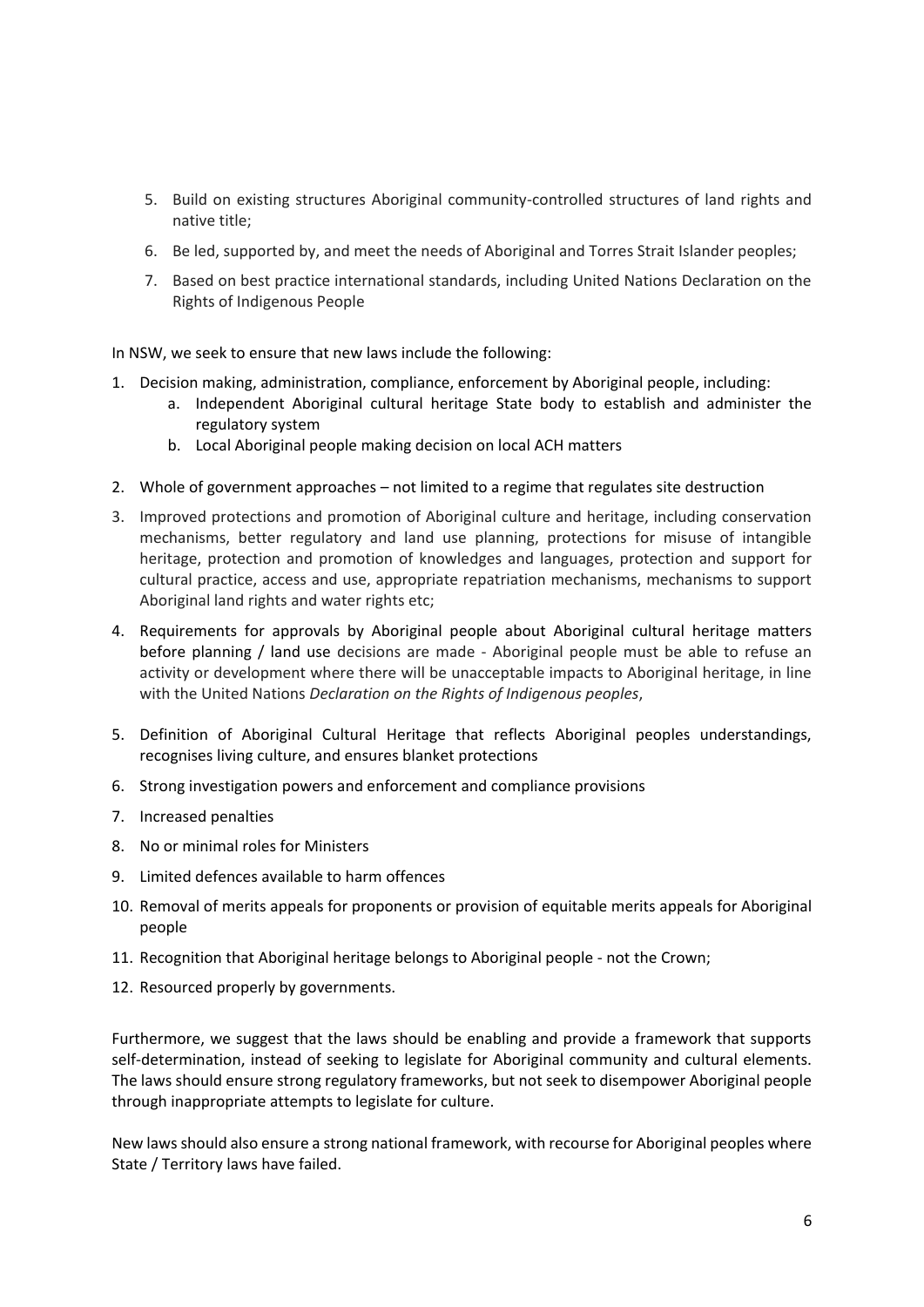- 5. Build on existing structures Aboriginal community-controlled structures of land rights and native title;
- 6. Be led, supported by, and meet the needs of Aboriginal and Torres Strait Islander peoples;
- 7. Based on best practice international standards, including United Nations Declaration on the Rights of Indigenous People

In NSW, we seek to ensure that new laws include the following:

- 1. Decision making, administration, compliance, enforcement by Aboriginal people, including:
	- a. Independent Aboriginal cultural heritage State body to establish and administer the regulatory system
	- b. Local Aboriginal people making decision on local ACH matters
- 2. Whole of government approaches not limited to a regime that regulates site destruction
- 3. Improved protections and promotion of Aboriginal culture and heritage, including conservation mechanisms, better regulatory and land use planning, protections for misuse of intangible heritage, protection and promotion of knowledges and languages, protection and support for cultural practice, access and use, appropriate repatriation mechanisms, mechanisms to support Aboriginal land rights and water rights etc;
- 4. Requirements for approvals by Aboriginal people about Aboriginal cultural heritage matters before planning / land use decisions are made - Aboriginal people must be able to refuse an activity or development where there will be unacceptable impacts to Aboriginal heritage, in line with the United Nations *Declaration on the Rights of Indigenous peoples*,
- 5. Definition of Aboriginal Cultural Heritage that reflects Aboriginal peoples understandings, recognises living culture, and ensures blanket protections
- 6. Strong investigation powers and enforcement and compliance provisions
- 7. Increased penalties
- 8. No or minimal roles for Ministers
- 9. Limited defences available to harm offences
- 10. Removal of merits appeals for proponents or provision of equitable merits appeals for Aboriginal people
- 11. Recognition that Aboriginal heritage belongs to Aboriginal people not the Crown;
- 12. Resourced properly by governments.

Furthermore, we suggest that the laws should be enabling and provide a framework that supports self-determination, instead of seeking to legislate for Aboriginal community and cultural elements. The laws should ensure strong regulatory frameworks, but not seek to disempower Aboriginal people through inappropriate attempts to legislate for culture.

New laws should also ensure a strong national framework, with recourse for Aboriginal peoples where State / Territory laws have failed.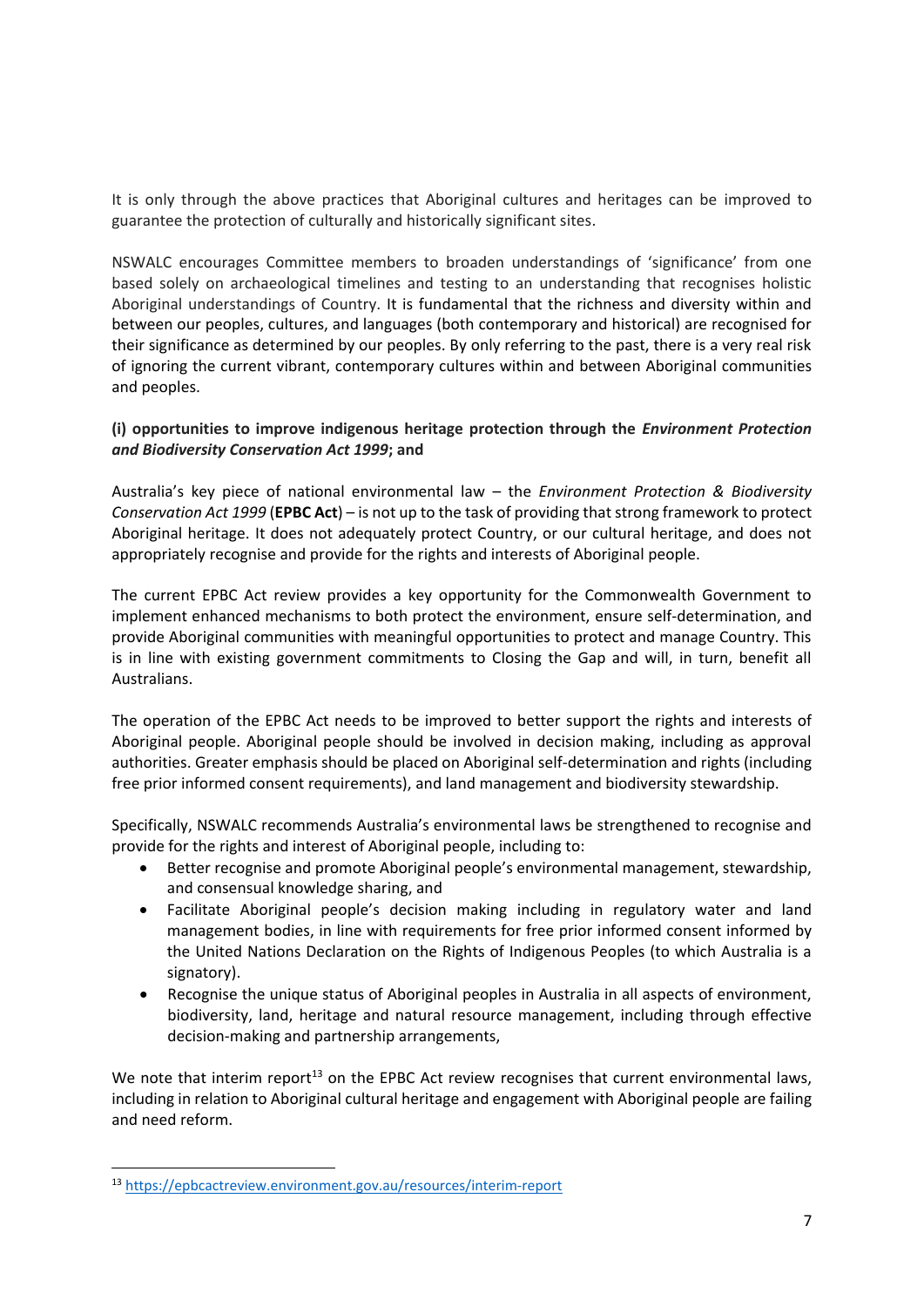It is only through the above practices that Aboriginal cultures and heritages can be improved to guarantee the protection of culturally and historically significant sites.

NSWALC encourages Committee members to broaden understandings of 'significance' from one based solely on archaeological timelines and testing to an understanding that recognises holistic Aboriginal understandings of Country. It is fundamental that the richness and diversity within and between our peoples, cultures, and languages (both contemporary and historical) are recognised for their significance as determined by our peoples. By only referring to the past, there is a very real risk of ignoring the current vibrant, contemporary cultures within and between Aboriginal communities and peoples.

## **(i) opportunities to improve indigenous heritage protection through the** *Environment Protection and Biodiversity Conservation Act 1999***; and**

Australia's key piece of national environmental law – the *Environment Protection & Biodiversity Conservation Act 1999* (**EPBC Act**) – is not up to the task of providing that strong framework to protect Aboriginal heritage. It does not adequately protect Country, or our cultural heritage, and does not appropriately recognise and provide for the rights and interests of Aboriginal people.

The current EPBC Act review provides a key opportunity for the Commonwealth Government to implement enhanced mechanisms to both protect the environment, ensure self-determination, and provide Aboriginal communities with meaningful opportunities to protect and manage Country. This is in line with existing government commitments to Closing the Gap and will, in turn, benefit all Australians.

The operation of the EPBC Act needs to be improved to better support the rights and interests of Aboriginal people. Aboriginal people should be involved in decision making, including as approval authorities. Greater emphasis should be placed on Aboriginal self-determination and rights (including free prior informed consent requirements), and land management and biodiversity stewardship.

Specifically, NSWALC recommends Australia's environmental laws be strengthened to recognise and provide for the rights and interest of Aboriginal people, including to:

- Better recognise and promote Aboriginal people's environmental management, stewardship, and consensual knowledge sharing, and
- Facilitate Aboriginal people's decision making including in regulatory water and land management bodies, in line with requirements for free prior informed consent informed by the United Nations Declaration on the Rights of Indigenous Peoples (to which Australia is a signatory).
- Recognise the unique status of Aboriginal peoples in Australia in all aspects of environment, biodiversity, land, heritage and natural resource management, including through effective decision-making and partnership arrangements,

We note that interim report<sup>13</sup> on the EPBC Act review recognises that current environmental laws, including in relation to Aboriginal cultural heritage and engagement with Aboriginal people are failing and need reform.

<sup>13</sup> <https://epbcactreview.environment.gov.au/resources/interim-report>